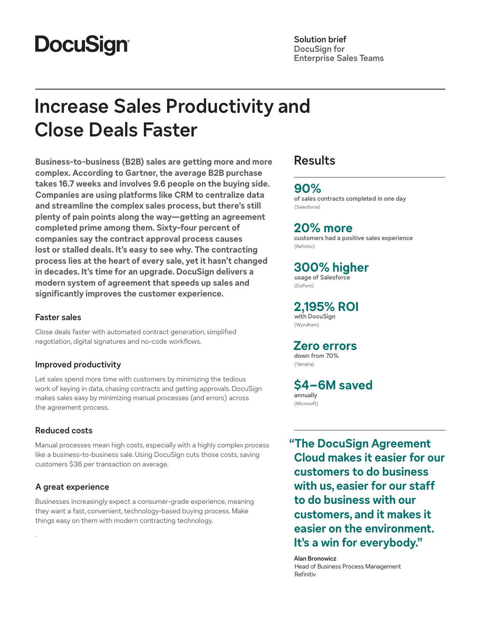# **DocuSign®**

### **Solution brief DocuSign for Enterprise Sales Teams**

# **Increase Sales Productivity and Close Deals Faster**

**Business-to-business (B2B) sales are getting more and more complex. According to Gartner, the average B2B purchase takes 16.7 weeks and involves 9.6 people on the buying side. Companies are using platforms like CRM to centralize data and streamline the complex sales process, but there's still plenty of pain points along the way—getting an agreement completed prime among them. Sixty-four percent of companies say the contract approval process causes lost or stalled deals. It's easy to see why. The contracting process lies at the heart of every sale, yet it hasn't changed in decades. It's time for an upgrade. DocuSign delivers a modern system of agreement that speeds up sales and significantly improves the customer experience.**

## **Faster sales**

Close deals faster with automated contract generation, simplified negotiation, digital signatures and no-code workflows.

## **Improved productivity**

Let sales spend more time with customers by minimizing the tedious work of keying in data, chasing contracts and getting approvals. DocuSign makes sales easy by minimizing manual processes (and errors) across the agreement process.

## **Reduced costs**

Manual processes mean high costs, especially with a highly complex process like a business-to-business sale. Using DocuSign cuts those costs, saving customers \$36 per transaction on average.

## **A great experience**

.

Businesses increasingly expect a consumer-grade experience, meaning they want a fast, convenient, technology-based buying process. Make things easy on them with modern contracting technology.

# **Results**

## **90%**

**of sales contracts completed in one day**  (Salesforce)

# **20% more**

**customers had a positive sales experience**  (Refinitiv)

# **300% higher**

**usage of Salesforce**  (DuPont)

# **2,195% ROI**

**with DocuSign**  (Wyndham)

# **Zero errors**

**down from 70%**  (Yamaha)

**\$4–6M saved annually**  (Microsoft)

**"The DocuSign Agreement Cloud makes it easier for our customers to do business with us, easier for our staff to do business with our customers, and it makes it easier on the environment. It's a win for everybody."**

**Alan Bronowicz** Head of Business Process Management Refinitiv